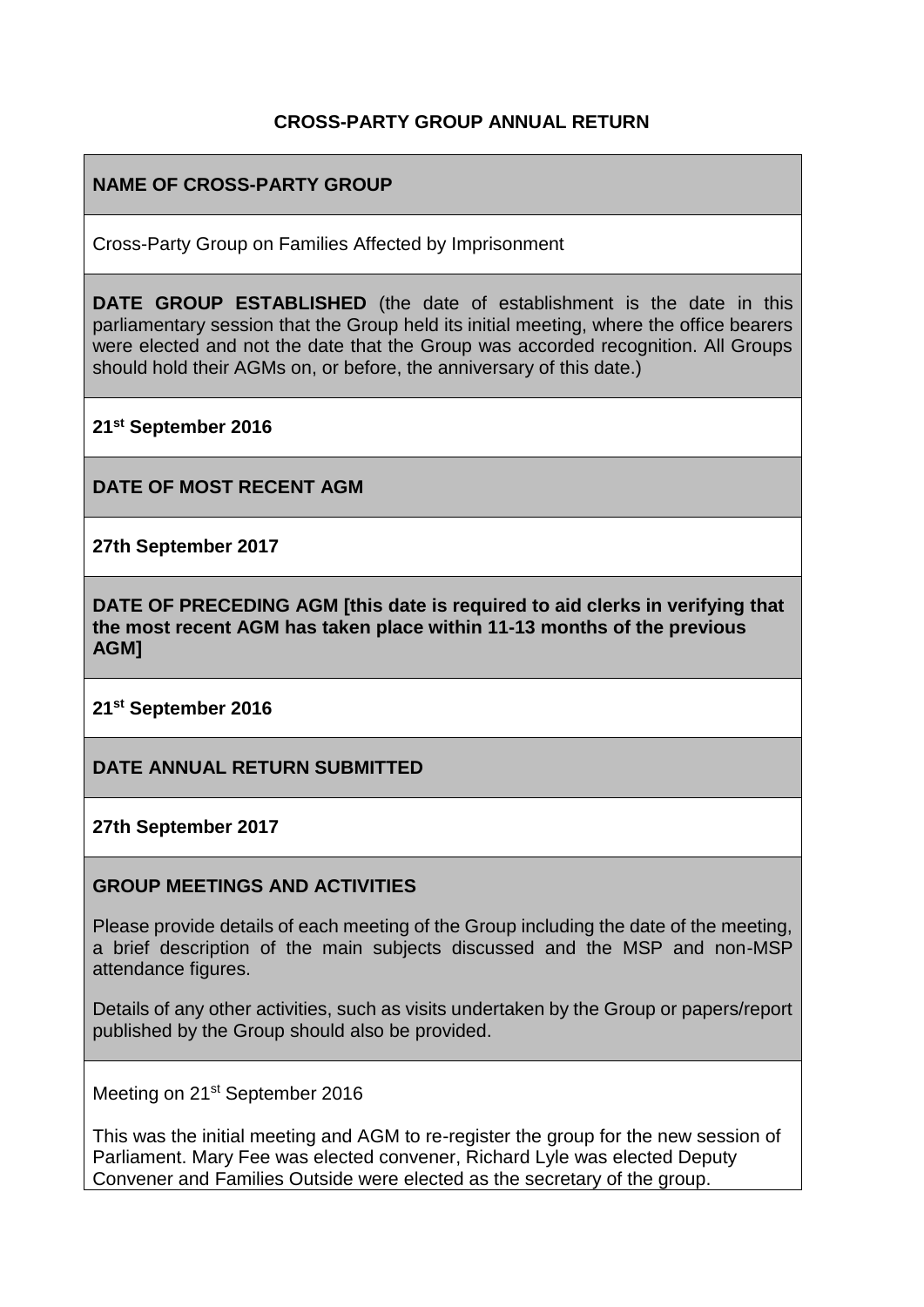#### **CROSS-PARTY GROUP ANNUAL RETURN**

### **NAME OF CROSS-PARTY GROUP**

Cross-Party Group on Families Affected by Imprisonment

**DATE GROUP ESTABLISHED** (the date of establishment is the date in this parliamentary session that the Group held its initial meeting, where the office bearers were elected and not the date that the Group was accorded recognition. All Groups should hold their AGMs on, or before, the anniversary of this date.)

**21st September 2016**

**DATE OF MOST RECENT AGM**

**27th September 2017**

**DATE OF PRECEDING AGM [this date is required to aid clerks in verifying that the most recent AGM has taken place within 11-13 months of the previous AGM]**

**21st September 2016**

**DATE ANNUAL RETURN SUBMITTED**

**27th September 2017** 

#### **GROUP MEETINGS AND ACTIVITIES**

Please provide details of each meeting of the Group including the date of the meeting, a brief description of the main subjects discussed and the MSP and non-MSP attendance figures.

Details of any other activities, such as visits undertaken by the Group or papers/report published by the Group should also be provided.

Meeting on 21<sup>st</sup> September 2016

This was the initial meeting and AGM to re-register the group for the new session of Parliament. Mary Fee was elected convener, Richard Lyle was elected Deputy Convener and Families Outside were elected as the secretary of the group.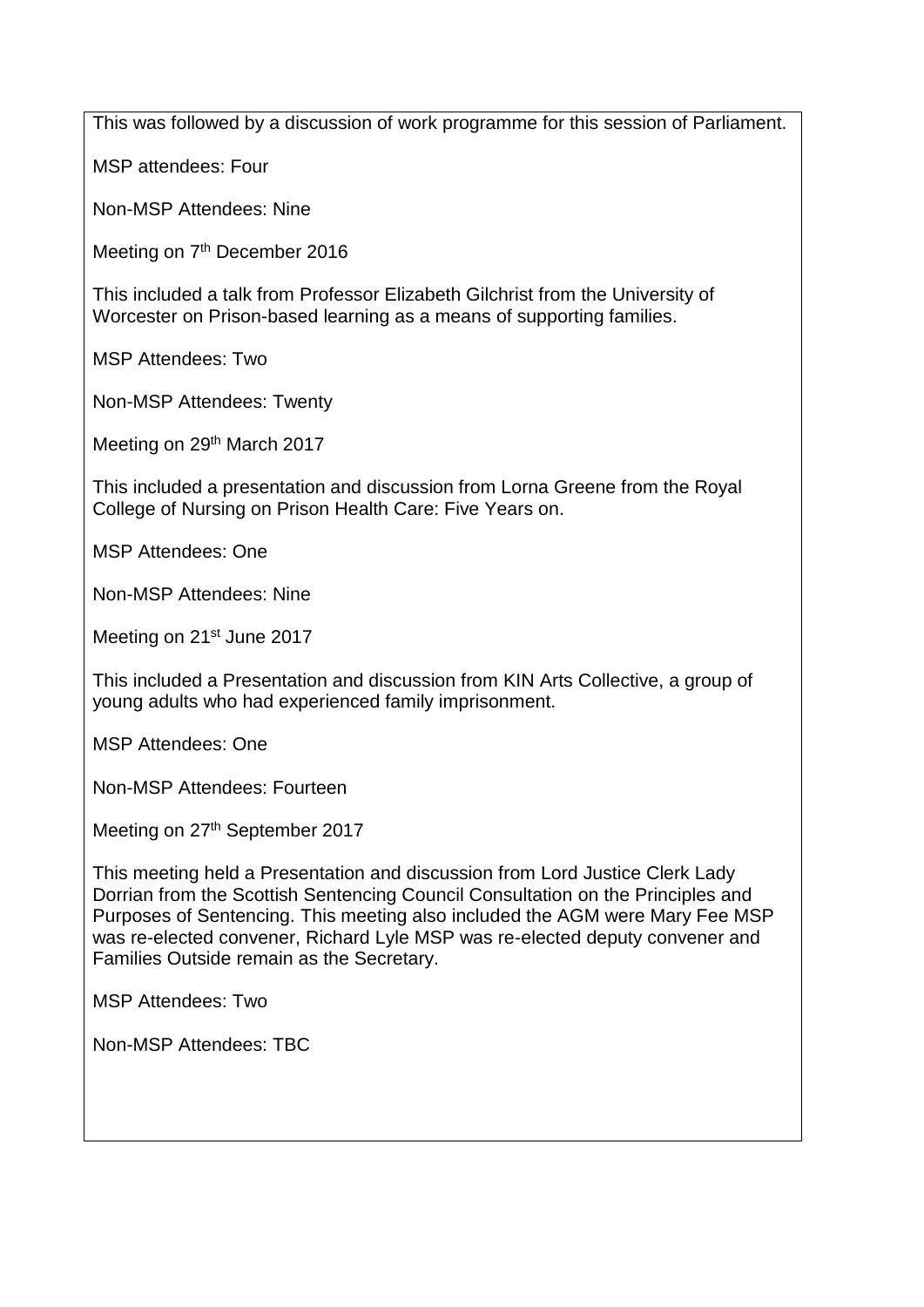This was followed by a discussion of work programme for this session of Parliament.

MSP attendees: Four

Non-MSP Attendees: Nine

Meeting on 7<sup>th</sup> December 2016

This included a talk from Professor Elizabeth Gilchrist from the University of Worcester on Prison-based learning as a means of supporting families.

MSP Attendees: Two

Non-MSP Attendees: Twenty

Meeting on 29<sup>th</sup> March 2017

This included a presentation and discussion from Lorna Greene from the Royal College of Nursing on Prison Health Care: Five Years on.

MSP Attendees: One

Non-MSP Attendees: Nine

Meeting on 21<sup>st</sup> June 2017

This included a Presentation and discussion from KIN Arts Collective, a group of young adults who had experienced family imprisonment.

MSP Attendees: One

Non-MSP Attendees: Fourteen

Meeting on 27<sup>th</sup> September 2017

This meeting held a Presentation and discussion from Lord Justice Clerk Lady Dorrian from the Scottish Sentencing Council Consultation on the Principles and Purposes of Sentencing. This meeting also included the AGM were Mary Fee MSP was re-elected convener, Richard Lyle MSP was re-elected deputy convener and Families Outside remain as the Secretary.

MSP Attendees: Two

Non-MSP Attendees: TBC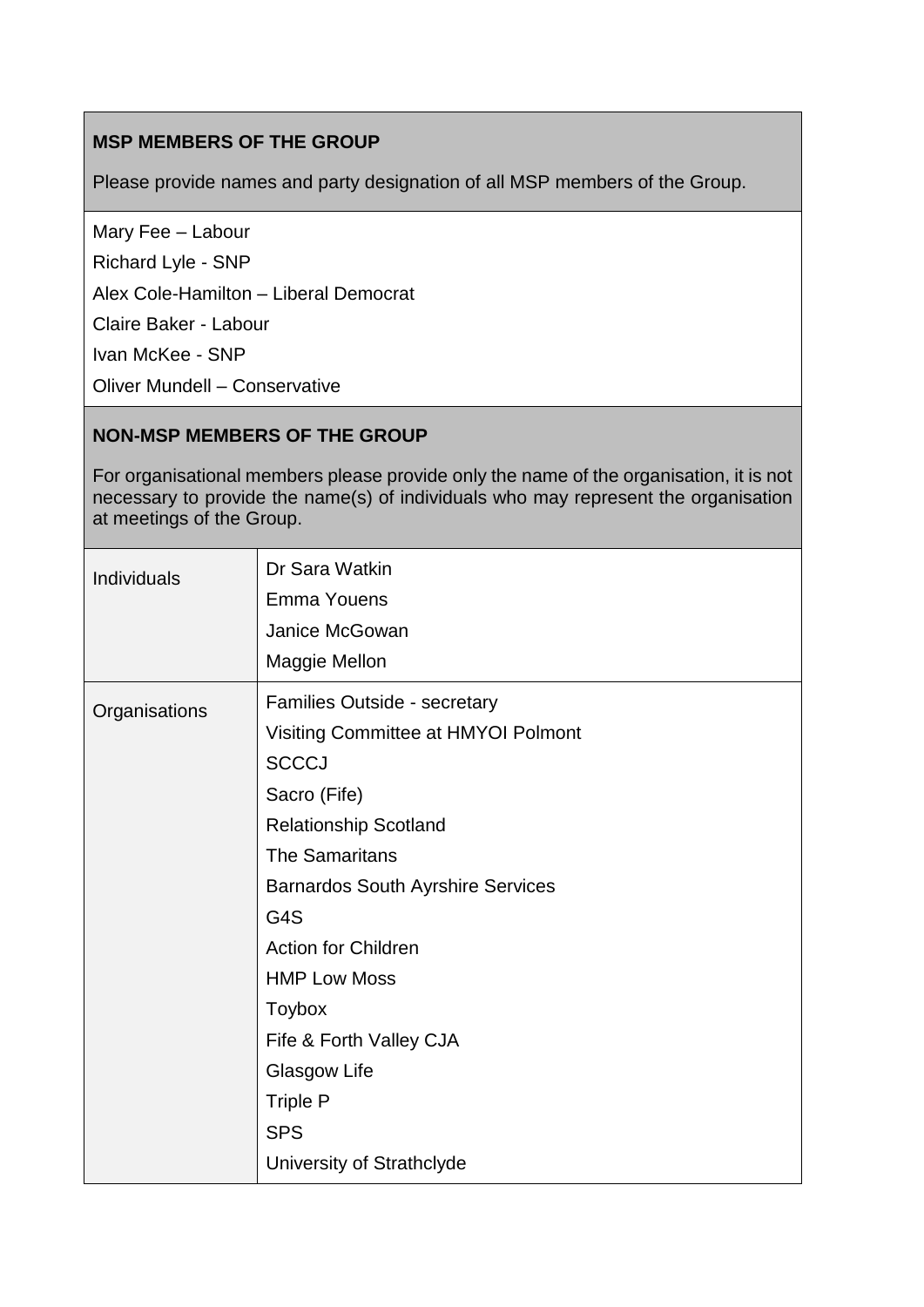## **MSP MEMBERS OF THE GROUP**

Please provide names and party designation of all MSP members of the Group.

Mary Fee – Labour

Richard Lyle - SNP

Alex Cole-Hamilton – Liberal Democrat

Claire Baker - Labour

Ivan McKee - SNP

Oliver Mundell – Conservative

## **NON-MSP MEMBERS OF THE GROUP**

For organisational members please provide only the name of the organisation, it is not necessary to provide the name(s) of individuals who may represent the organisation at meetings of the Group.

| <b>Individuals</b> | Dr Sara Watkin<br><b>Emma Youens</b><br>Janice McGowan<br>Maggie Mellon                                                                                                                                                                                                                                                                                                                 |
|--------------------|-----------------------------------------------------------------------------------------------------------------------------------------------------------------------------------------------------------------------------------------------------------------------------------------------------------------------------------------------------------------------------------------|
| Organisations      | Families Outside - secretary<br>Visiting Committee at HMYOI Polmont<br><b>SCCCJ</b><br>Sacro (Fife)<br><b>Relationship Scotland</b><br><b>The Samaritans</b><br><b>Barnardos South Ayrshire Services</b><br>G4S<br><b>Action for Children</b><br><b>HMP Low Moss</b><br>Toybox<br>Fife & Forth Valley CJA<br>Glasgow Life<br><b>Triple P</b><br><b>SPS</b><br>University of Strathclyde |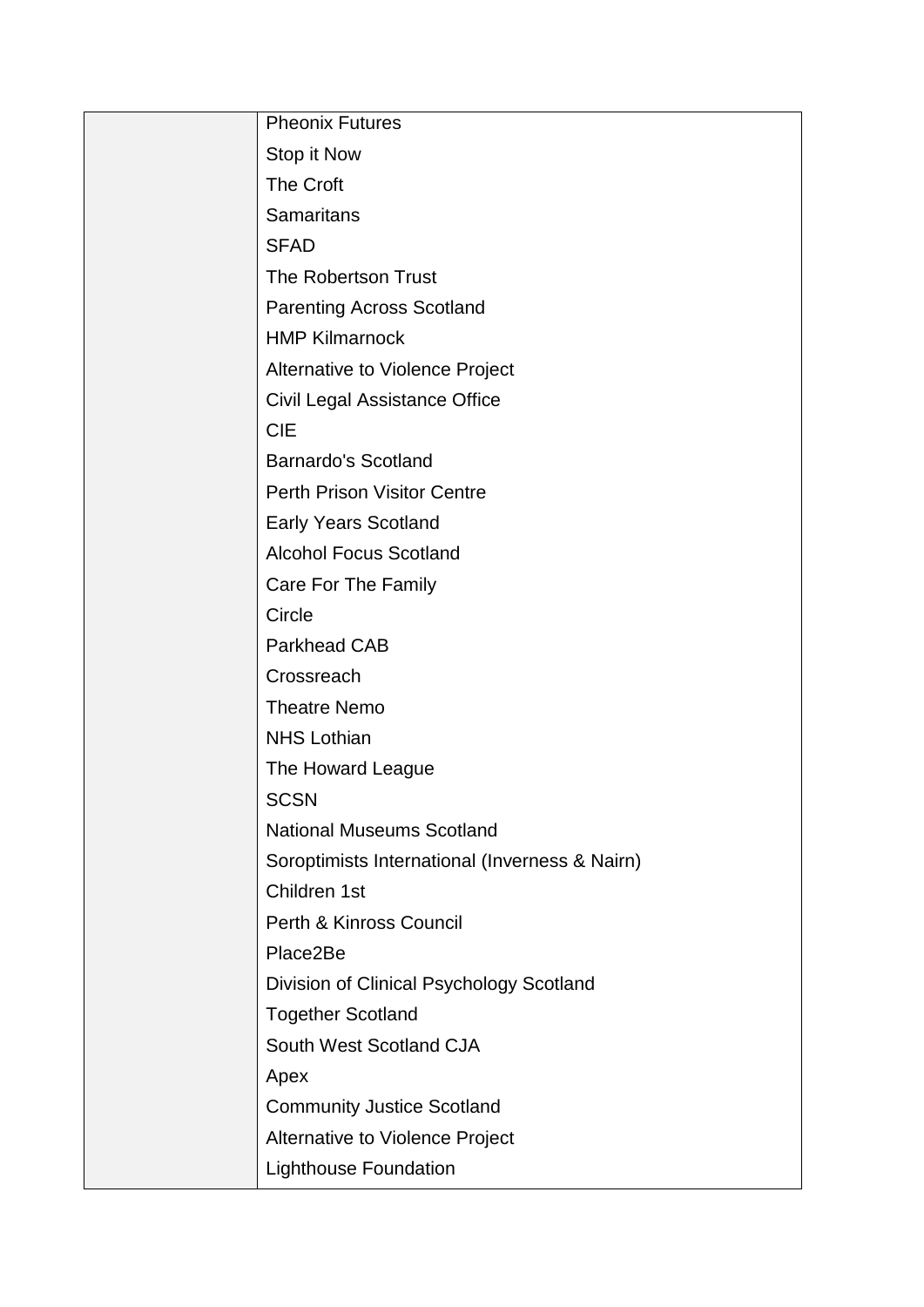| <b>Pheonix Futures</b>                         |
|------------------------------------------------|
| Stop it Now                                    |
| <b>The Croft</b>                               |
| <b>Samaritans</b>                              |
| <b>SFAD</b>                                    |
| <b>The Robertson Trust</b>                     |
| <b>Parenting Across Scotland</b>               |
| <b>HMP Kilmarnock</b>                          |
| Alternative to Violence Project                |
| Civil Legal Assistance Office                  |
| <b>CIE</b>                                     |
| <b>Barnardo's Scotland</b>                     |
| <b>Perth Prison Visitor Centre</b>             |
| <b>Early Years Scotland</b>                    |
| <b>Alcohol Focus Scotland</b>                  |
| Care For The Family                            |
| Circle                                         |
| <b>Parkhead CAB</b>                            |
| Crossreach                                     |
| <b>Theatre Nemo</b>                            |
| <b>NHS Lothian</b>                             |
| The Howard League                              |
| <b>SCSN</b>                                    |
| <b>National Museums Scotland</b>               |
| Soroptimists International (Inverness & Nairn) |
| Children 1st                                   |
| Perth & Kinross Council                        |
| Place2Be                                       |
| Division of Clinical Psychology Scotland       |
| <b>Together Scotland</b>                       |
| South West Scotland CJA                        |
| Apex                                           |
| <b>Community Justice Scotland</b>              |
| Alternative to Violence Project                |
| <b>Lighthouse Foundation</b>                   |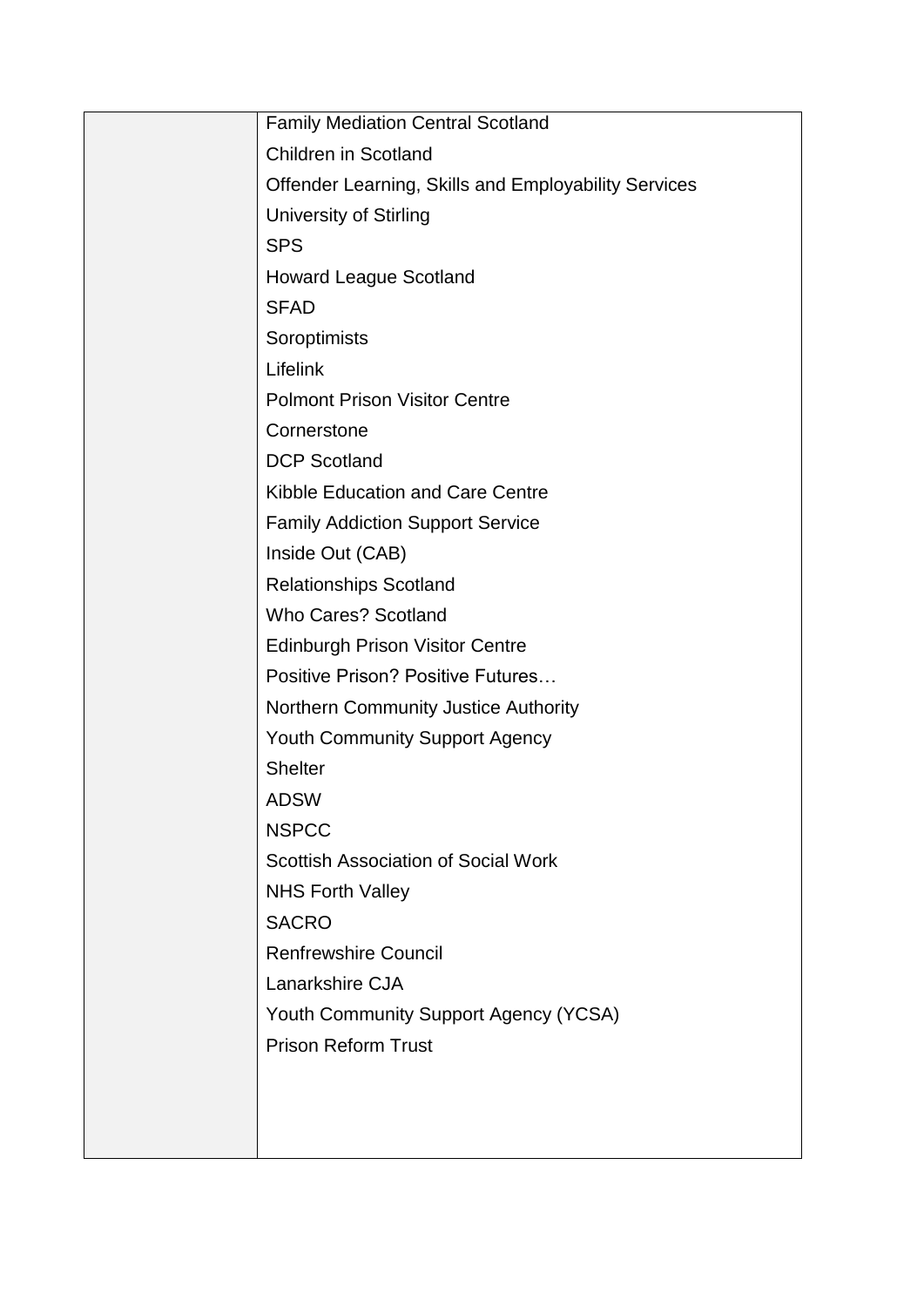| <b>Family Mediation Central Scotland</b>             |
|------------------------------------------------------|
| <b>Children in Scotland</b>                          |
| Offender Learning, Skills and Employability Services |
| <b>University of Stirling</b>                        |
| <b>SPS</b>                                           |
| <b>Howard League Scotland</b>                        |
| <b>SFAD</b>                                          |
| Soroptimists                                         |
| Lifelink                                             |
| <b>Polmont Prison Visitor Centre</b>                 |
| Cornerstone                                          |
| <b>DCP Scotland</b>                                  |
| Kibble Education and Care Centre                     |
| <b>Family Addiction Support Service</b>              |
| Inside Out (CAB)                                     |
| <b>Relationships Scotland</b>                        |
| <b>Who Cares? Scotland</b>                           |
| <b>Edinburgh Prison Visitor Centre</b>               |
| <b>Positive Prison? Positive Futures</b>             |
| Northern Community Justice Authority                 |
| <b>Youth Community Support Agency</b>                |
| <b>Shelter</b>                                       |
| ADSW                                                 |
| <b>NSPCC</b>                                         |
| <b>Scottish Association of Social Work</b>           |
| <b>NHS Forth Valley</b>                              |
| <b>SACRO</b>                                         |
| <b>Renfrewshire Council</b>                          |
| Lanarkshire CJA                                      |
| Youth Community Support Agency (YCSA)                |
| <b>Prison Reform Trust</b>                           |
|                                                      |
|                                                      |
|                                                      |
|                                                      |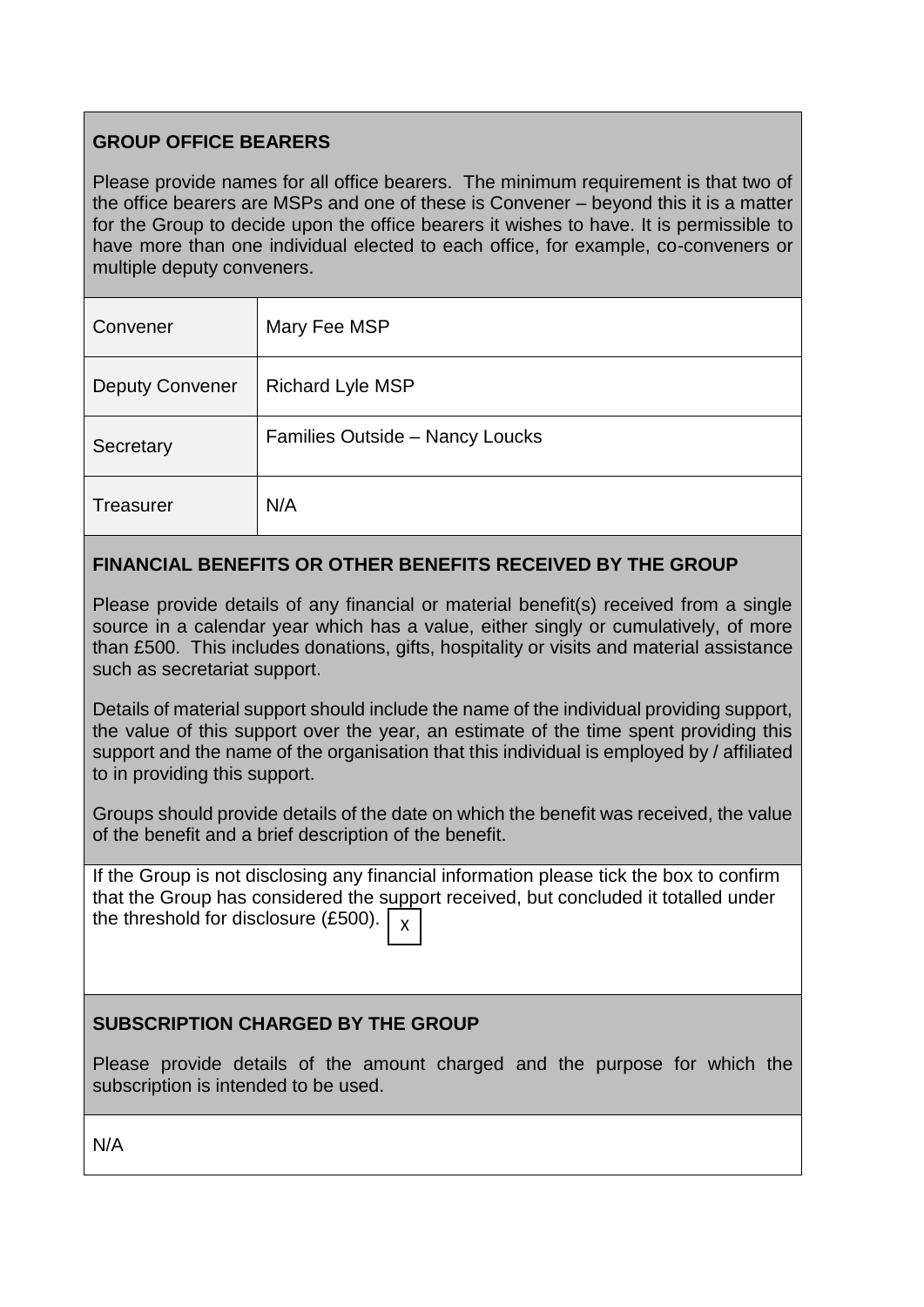# **GROUP OFFICE BEARERS**

Please provide names for all office bearers. The minimum requirement is that two of the office bearers are MSPs and one of these is Convener – beyond this it is a matter for the Group to decide upon the office bearers it wishes to have. It is permissible to have more than one individual elected to each office, for example, co-conveners or multiple deputy conveners.

| Convener               | Mary Fee MSP                    |
|------------------------|---------------------------------|
| <b>Deputy Convener</b> | <b>Richard Lyle MSP</b>         |
| Secretary              | Families Outside - Nancy Loucks |
| Treasurer              | N/A                             |

# **FINANCIAL BENEFITS OR OTHER BENEFITS RECEIVED BY THE GROUP**

Please provide details of any financial or material benefit(s) received from a single source in a calendar year which has a value, either singly or cumulatively, of more than £500. This includes donations, gifts, hospitality or visits and material assistance such as secretariat support.

Details of material support should include the name of the individual providing support, the value of this support over the year, an estimate of the time spent providing this support and the name of the organisation that this individual is employed by / affiliated to in providing this support.

Groups should provide details of the date on which the benefit was received, the value of the benefit and a brief description of the benefit.

If the Group is not disclosing any financial information please tick the box to confirm that the Group has considered the support received, but concluded it totalled under the threshold for disclosure (£500). X

#### **SUBSCRIPTION CHARGED BY THE GROUP**

Please provide details of the amount charged and the purpose for which the subscription is intended to be used.

N/A